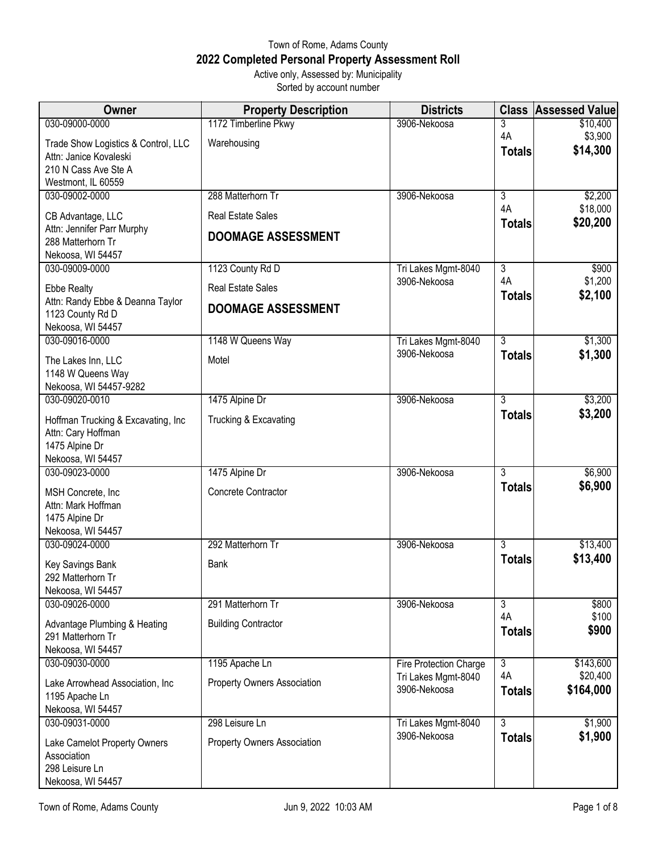## Town of Rome, Adams County **2022 Completed Personal Property Assessment Roll** Active only, Assessed by: Municipality

Sorted by account number

| <b>Owner</b>                                      | <b>Property Description</b> | <b>Districts</b>                    |                      | <b>Class Assessed Value</b> |
|---------------------------------------------------|-----------------------------|-------------------------------------|----------------------|-----------------------------|
| 030-09000-0000                                    | 1172 Timberline Pkwy        | 3906-Nekoosa                        | 3                    | \$10,400                    |
| Trade Show Logistics & Control, LLC               | Warehousing                 |                                     | 4A                   | \$3,900                     |
| Attn: Janice Kovaleski                            |                             |                                     | <b>Totals</b>        | \$14,300                    |
| 210 N Cass Ave Ste A                              |                             |                                     |                      |                             |
| Westmont, IL 60559                                |                             |                                     |                      |                             |
| 030-09002-0000                                    | 288 Matterhorn Tr           | 3906-Nekoosa                        | $\overline{3}$       | \$2,200                     |
| CB Advantage, LLC                                 | <b>Real Estate Sales</b>    |                                     | 4A                   | \$18,000                    |
| Attn: Jennifer Parr Murphy                        | <b>DOOMAGE ASSESSMENT</b>   |                                     | <b>Totals</b>        | \$20,200                    |
| 288 Matterhorn Tr                                 |                             |                                     |                      |                             |
| Nekoosa, WI 54457                                 |                             |                                     |                      |                             |
| 030-09009-0000                                    | 1123 County Rd D            | Tri Lakes Mgmt-8040                 | $\overline{3}$<br>4A | \$900                       |
| <b>Ebbe Realty</b>                                | <b>Real Estate Sales</b>    | 3906-Nekoosa                        | <b>Totals</b>        | \$1,200<br>\$2,100          |
| Attn: Randy Ebbe & Deanna Taylor                  | <b>DOOMAGE ASSESSMENT</b>   |                                     |                      |                             |
| 1123 County Rd D                                  |                             |                                     |                      |                             |
| Nekoosa, WI 54457<br>030-09016-0000               | 1148 W Queens Way           |                                     | $\overline{3}$       |                             |
|                                                   |                             | Tri Lakes Mgmt-8040<br>3906-Nekoosa | <b>Totals</b>        | \$1,300<br>\$1,300          |
| The Lakes Inn, LLC                                | Motel                       |                                     |                      |                             |
| 1148 W Queens Way                                 |                             |                                     |                      |                             |
| Nekoosa, WI 54457-9282                            |                             | 3906-Nekoosa                        | $\overline{3}$       |                             |
| 030-09020-0010                                    | 1475 Alpine Dr              |                                     |                      | \$3,200<br>\$3,200          |
| Hoffman Trucking & Excavating, Inc                | Trucking & Excavating       |                                     | <b>Totals</b>        |                             |
| Attn: Cary Hoffman                                |                             |                                     |                      |                             |
| 1475 Alpine Dr                                    |                             |                                     |                      |                             |
| Nekoosa, WI 54457<br>030-09023-0000               | 1475 Alpine Dr              | 3906-Nekoosa                        | 3                    | \$6,900                     |
|                                                   |                             |                                     | <b>Totals</b>        | \$6,900                     |
| MSH Concrete, Inc.                                | Concrete Contractor         |                                     |                      |                             |
| Attn: Mark Hoffman                                |                             |                                     |                      |                             |
| 1475 Alpine Dr<br>Nekoosa, WI 54457               |                             |                                     |                      |                             |
| 030-09024-0000                                    | 292 Matterhorn Tr           | 3906-Nekoosa                        | $\overline{3}$       | \$13,400                    |
|                                                   |                             |                                     | <b>Totals</b>        | \$13,400                    |
| Key Savings Bank                                  | <b>Bank</b>                 |                                     |                      |                             |
| 292 Matterhorn Tr<br>Nekoosa, WI 54457            |                             |                                     |                      |                             |
| 030-09026-0000                                    | 291 Matterhorn Tr           | 3906-Nekoosa                        | $\overline{3}$       | \$800                       |
|                                                   |                             |                                     | 4A                   | \$100                       |
| Advantage Plumbing & Heating<br>291 Matterhorn Tr | <b>Building Contractor</b>  |                                     | <b>Totals</b>        | \$900                       |
| Nekoosa, WI 54457                                 |                             |                                     |                      |                             |
| 030-09030-0000                                    | 1195 Apache Ln              | Fire Protection Charge              | $\overline{3}$       | \$143,600                   |
|                                                   |                             | Tri Lakes Mgmt-8040                 | 4A                   | \$20,400                    |
| Lake Arrowhead Association, Inc                   | Property Owners Association | 3906-Nekoosa                        | <b>Totals</b>        | \$164,000                   |
| 1195 Apache Ln<br>Nekoosa, WI 54457               |                             |                                     |                      |                             |
| 030-09031-0000                                    | 298 Leisure Ln              | Tri Lakes Mgmt-8040                 | $\overline{3}$       | \$1,900                     |
|                                                   |                             | 3906-Nekoosa                        | <b>Totals</b>        | \$1,900                     |
| Lake Camelot Property Owners<br>Association       | Property Owners Association |                                     |                      |                             |
| 298 Leisure Ln                                    |                             |                                     |                      |                             |
| Nekoosa, WI 54457                                 |                             |                                     |                      |                             |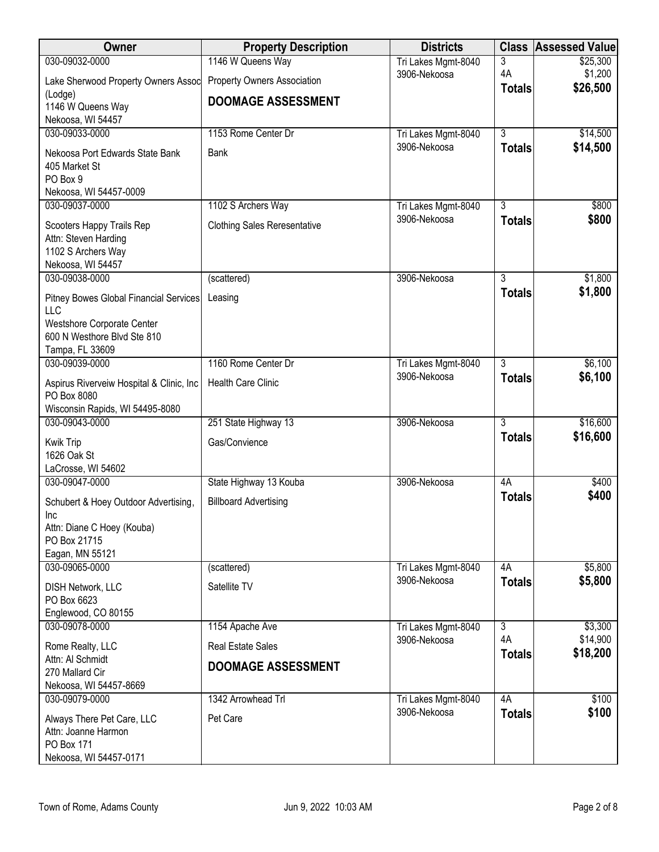| Owner                                                     | <b>Property Description</b>         | <b>Districts</b>    | <b>Class</b>        | <b>Assessed Value</b> |
|-----------------------------------------------------------|-------------------------------------|---------------------|---------------------|-----------------------|
| 030-09032-0000                                            | 1146 W Queens Way                   | Tri Lakes Mgmt-8040 | 3                   | \$25,300              |
| Lake Sherwood Property Owners Assoc                       | Property Owners Association         | 3906-Nekoosa        | 4A<br><b>Totals</b> | \$1,200<br>\$26,500   |
| (Lodge)                                                   | <b>DOOMAGE ASSESSMENT</b>           |                     |                     |                       |
| 1146 W Queens Way<br>Nekoosa, WI 54457                    |                                     |                     |                     |                       |
| 030-09033-0000                                            | 1153 Rome Center Dr                 | Tri Lakes Mgmt-8040 | $\overline{3}$      | \$14,500              |
| Nekoosa Port Edwards State Bank                           | <b>Bank</b>                         | 3906-Nekoosa        | <b>Totals</b>       | \$14,500              |
| 405 Market St                                             |                                     |                     |                     |                       |
| PO Box 9                                                  |                                     |                     |                     |                       |
| Nekoosa, WI 54457-0009<br>030-09037-0000                  | 1102 S Archers Way                  | Tri Lakes Mgmt-8040 | $\overline{3}$      | \$800                 |
|                                                           |                                     | 3906-Nekoosa        | <b>Totals</b>       | \$800                 |
| Scooters Happy Trails Rep<br>Attn: Steven Harding         | <b>Clothing Sales Reresentative</b> |                     |                     |                       |
| 1102 S Archers Way                                        |                                     |                     |                     |                       |
| Nekoosa, WI 54457                                         |                                     |                     |                     |                       |
| 030-09038-0000                                            | (scattered)                         | 3906-Nekoosa        | 3                   | \$1,800               |
| Pitney Bowes Global Financial Services                    | Leasing                             |                     | <b>Totals</b>       | \$1,800               |
| LLC                                                       |                                     |                     |                     |                       |
| Westshore Corporate Center<br>600 N Westhore Blvd Ste 810 |                                     |                     |                     |                       |
| Tampa, FL 33609                                           |                                     |                     |                     |                       |
| 030-09039-0000                                            | 1160 Rome Center Dr                 | Tri Lakes Mgmt-8040 | $\overline{3}$      | \$6,100               |
| Aspirus Riverveiw Hospital & Clinic, Inc.                 | <b>Health Care Clinic</b>           | 3906-Nekoosa        | <b>Totals</b>       | \$6,100               |
| PO Box 8080                                               |                                     |                     |                     |                       |
| Wisconsin Rapids, WI 54495-8080<br>030-09043-0000         | 251 State Highway 13                | 3906-Nekoosa        | $\overline{3}$      | \$16,600              |
|                                                           | Gas/Convience                       |                     | <b>Totals</b>       | \$16,600              |
| Kwik Trip<br>1626 Oak St                                  |                                     |                     |                     |                       |
| LaCrosse, WI 54602                                        |                                     |                     |                     |                       |
| 030-09047-0000                                            | State Highway 13 Kouba              | 3906-Nekoosa        | 4A                  | \$400                 |
| Schubert & Hoey Outdoor Advertising,                      | <b>Billboard Advertising</b>        |                     | <b>Totals</b>       | \$400                 |
| Inc                                                       |                                     |                     |                     |                       |
| Attn: Diane C Hoey (Kouba)<br>PO Box 21715                |                                     |                     |                     |                       |
| Eagan, MN 55121                                           |                                     |                     |                     |                       |
| 030-09065-0000                                            | (scattered)                         | Tri Lakes Mgmt-8040 | 4A                  | \$5,800               |
| DISH Network, LLC                                         | Satellite TV                        | 3906-Nekoosa        | <b>Totals</b>       | \$5,800               |
| PO Box 6623                                               |                                     |                     |                     |                       |
| Englewood, CO 80155<br>030-09078-0000                     | 1154 Apache Ave                     | Tri Lakes Mgmt-8040 | $\overline{3}$      | \$3,300               |
|                                                           |                                     | 3906-Nekoosa        | 4A                  | \$14,900              |
| Rome Realty, LLC<br>Attn: Al Schmidt                      | <b>Real Estate Sales</b>            |                     | <b>Totals</b>       | \$18,200              |
| 270 Mallard Cir                                           | <b>DOOMAGE ASSESSMENT</b>           |                     |                     |                       |
| Nekoosa, WI 54457-8669                                    |                                     |                     |                     |                       |
| 030-09079-0000                                            | 1342 Arrowhead Trl                  | Tri Lakes Mgmt-8040 | 4A                  | \$100                 |
| Always There Pet Care, LLC                                | Pet Care                            | 3906-Nekoosa        | <b>Totals</b>       | \$100                 |
| Attn: Joanne Harmon<br>PO Box 171                         |                                     |                     |                     |                       |
| Nekoosa, WI 54457-0171                                    |                                     |                     |                     |                       |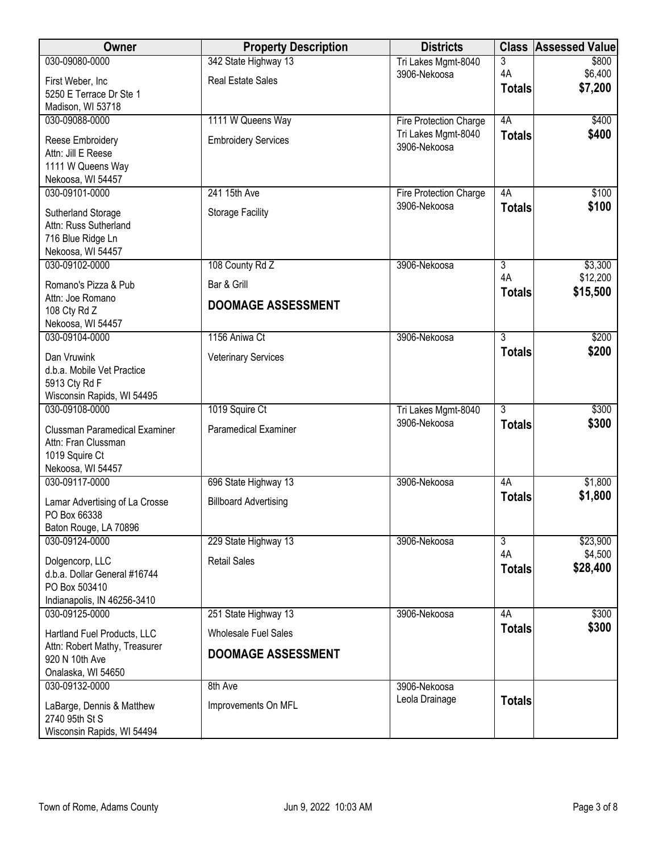| Owner                          | <b>Property Description</b>  | <b>Districts</b>              | <b>Class</b>   | <b>Assessed Value</b> |
|--------------------------------|------------------------------|-------------------------------|----------------|-----------------------|
| 030-09080-0000                 | 342 State Highway 13         | Tri Lakes Mgmt-8040           | 3              | \$800                 |
| First Weber, Inc               | <b>Real Estate Sales</b>     | 3906-Nekoosa                  | 4A             | \$6,400               |
| 5250 E Terrace Dr Ste 1        |                              |                               | <b>Totals</b>  | \$7,200               |
| Madison, WI 53718              |                              |                               |                |                       |
| 030-09088-0000                 | 1111 W Queens Way            | <b>Fire Protection Charge</b> | 4A             | \$400                 |
| Reese Embroidery               | <b>Embroidery Services</b>   | Tri Lakes Mgmt-8040           | <b>Totals</b>  | \$400                 |
| Attn: Jill E Reese             |                              | 3906-Nekoosa                  |                |                       |
| 1111 W Queens Way              |                              |                               |                |                       |
| Nekoosa, WI 54457              |                              |                               |                |                       |
| 030-09101-0000                 | 241 15th Ave                 | Fire Protection Charge        | 4A             | \$100                 |
| Sutherland Storage             | <b>Storage Facility</b>      | 3906-Nekoosa                  | <b>Totals</b>  | \$100                 |
| Attn: Russ Sutherland          |                              |                               |                |                       |
| 716 Blue Ridge Ln              |                              |                               |                |                       |
| Nekoosa, WI 54457              |                              |                               |                |                       |
| 030-09102-0000                 | 108 County Rd Z              | 3906-Nekoosa                  | $\overline{3}$ | \$3,300               |
| Romano's Pizza & Pub           | Bar & Grill                  |                               | 4A             | \$12,200              |
| Attn: Joe Romano               |                              |                               | <b>Totals</b>  | \$15,500              |
| 108 Cty Rd Z                   | <b>DOOMAGE ASSESSMENT</b>    |                               |                |                       |
| Nekoosa, WI 54457              |                              |                               |                |                       |
| 030-09104-0000                 | 1156 Aniwa Ct                | 3906-Nekoosa                  | $\overline{3}$ | \$200                 |
| Dan Vruwink                    | <b>Veterinary Services</b>   |                               | <b>Totals</b>  | \$200                 |
| d.b.a. Mobile Vet Practice     |                              |                               |                |                       |
| 5913 Cty Rd F                  |                              |                               |                |                       |
| Wisconsin Rapids, WI 54495     |                              |                               |                |                       |
| 030-09108-0000                 | 1019 Squire Ct               | Tri Lakes Mgmt-8040           | $\overline{3}$ | \$300                 |
| Clussman Paramedical Examiner  | Paramedical Examiner         | 3906-Nekoosa                  | <b>Totals</b>  | \$300                 |
| Attn: Fran Clussman            |                              |                               |                |                       |
| 1019 Squire Ct                 |                              |                               |                |                       |
| Nekoosa, WI 54457              |                              |                               |                |                       |
| 030-09117-0000                 | 696 State Highway 13         | 3906-Nekoosa                  | 4A             | \$1,800               |
| Lamar Advertising of La Crosse | <b>Billboard Advertising</b> |                               | <b>Totals</b>  | \$1,800               |
| PO Box 66338                   |                              |                               |                |                       |
| Baton Rouge, LA 70896          |                              |                               |                |                       |
| 030-09124-0000                 | 229 State Highway 13         | 3906-Nekoosa                  | $\overline{3}$ | \$23,900              |
| Dolgencorp, LLC                | <b>Retail Sales</b>          |                               | 4A             | \$4,500               |
| d.b.a. Dollar General #16744   |                              |                               | <b>Totals</b>  | \$28,400              |
| PO Box 503410                  |                              |                               |                |                       |
| Indianapolis, IN 46256-3410    |                              |                               |                |                       |
| 030-09125-0000                 | 251 State Highway 13         | 3906-Nekoosa                  | 4A             | \$300                 |
| Hartland Fuel Products, LLC    | <b>Wholesale Fuel Sales</b>  |                               | <b>Totals</b>  | \$300                 |
| Attn: Robert Mathy, Treasurer  |                              |                               |                |                       |
| 920 N 10th Ave                 | <b>DOOMAGE ASSESSMENT</b>    |                               |                |                       |
| Onalaska, WI 54650             |                              |                               |                |                       |
| 030-09132-0000                 | 8th Ave                      | 3906-Nekoosa                  |                |                       |
| LaBarge, Dennis & Matthew      | Improvements On MFL          | Leola Drainage                | <b>Totals</b>  |                       |
| 2740 95th St S                 |                              |                               |                |                       |
| Wisconsin Rapids, WI 54494     |                              |                               |                |                       |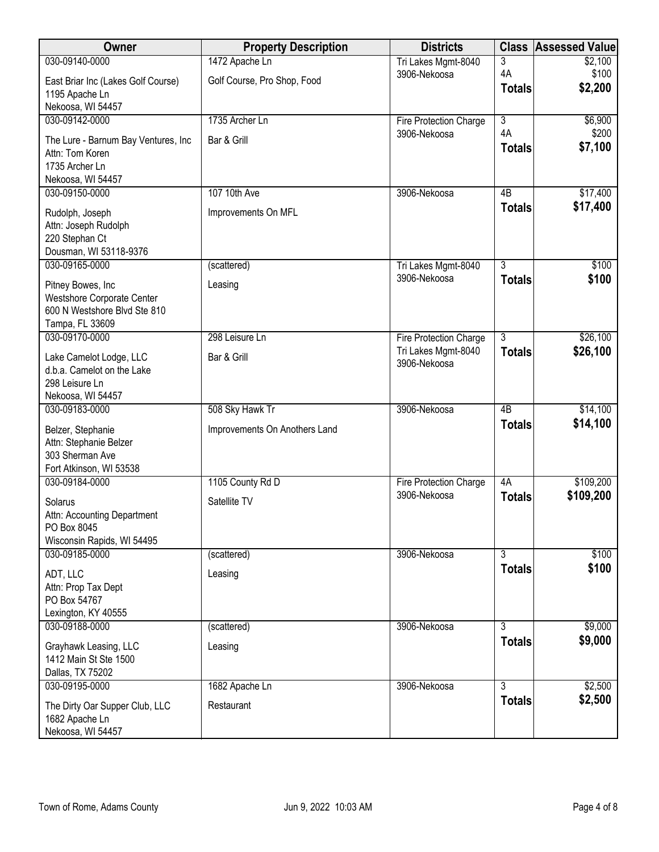| Owner                                                                                        | <b>Property Description</b>   | <b>Districts</b>                    | <b>Class</b>        | <b>Assessed Value</b> |
|----------------------------------------------------------------------------------------------|-------------------------------|-------------------------------------|---------------------|-----------------------|
| 030-09140-0000                                                                               | 1472 Apache Ln                | Tri Lakes Mgmt-8040                 | 3                   | \$2,100               |
| East Briar Inc (Lakes Golf Course)<br>1195 Apache Ln                                         | Golf Course, Pro Shop, Food   | 3906-Nekoosa                        | 4A<br><b>Totals</b> | \$100<br>\$2,200      |
| Nekoosa, WI 54457                                                                            |                               |                                     |                     |                       |
| 030-09142-0000                                                                               | 1735 Archer Ln                | Fire Protection Charge              | $\overline{3}$      | \$6,900               |
| The Lure - Barnum Bay Ventures, Inc<br>Attn: Tom Koren                                       | Bar & Grill                   | 3906-Nekoosa                        | 4A<br><b>Totals</b> | \$200<br>\$7,100      |
| 1735 Archer Ln                                                                               |                               |                                     |                     |                       |
| Nekoosa, WI 54457                                                                            |                               |                                     |                     |                       |
| 030-09150-0000                                                                               | 107 10th Ave                  | 3906-Nekoosa                        | 4B                  | \$17,400              |
| Rudolph, Joseph<br>Attn: Joseph Rudolph<br>220 Stephan Ct<br>Dousman, WI 53118-9376          | Improvements On MFL           |                                     | <b>Totals</b>       | \$17,400              |
| 030-09165-0000                                                                               | (scattered)                   | Tri Lakes Mgmt-8040                 | $\overline{3}$      | \$100                 |
| Pitney Bowes, Inc<br>Westshore Corporate Center<br>600 N Westshore Blvd Ste 810              | Leasing                       | 3906-Nekoosa                        | <b>Totals</b>       | \$100                 |
| Tampa, FL 33609                                                                              |                               |                                     |                     |                       |
| 030-09170-0000                                                                               | 298 Leisure Ln                | Fire Protection Charge              | $\overline{3}$      | \$26,100              |
| Lake Camelot Lodge, LLC<br>d.b.a. Camelot on the Lake<br>298 Leisure Ln<br>Nekoosa, WI 54457 | Bar & Grill                   | Tri Lakes Mgmt-8040<br>3906-Nekoosa | <b>Totals</b>       | \$26,100              |
| 030-09183-0000                                                                               | 508 Sky Hawk Tr               | 3906-Nekoosa                        | $\overline{AB}$     | \$14,100              |
| Belzer, Stephanie<br>Attn: Stephanie Belzer<br>303 Sherman Ave<br>Fort Atkinson, WI 53538    | Improvements On Anothers Land |                                     | <b>Totals</b>       | \$14,100              |
| 030-09184-0000                                                                               | 1105 County Rd D              | Fire Protection Charge              | 4A                  | \$109,200             |
| Solarus<br>Attn: Accounting Department<br>PO Box 8045<br>Wisconsin Rapids, WI 54495          | Satellite TV                  | 3906-Nekoosa                        | <b>Totals</b>       | \$109,200             |
| 030-09185-0000                                                                               | (scattered)                   | 3906-Nekoosa                        | $\overline{3}$      | \$100                 |
| ADT, LLC<br>Attn: Prop Tax Dept<br>PO Box 54767<br>Lexington, KY 40555                       | Leasing                       |                                     | <b>Totals</b>       | \$100                 |
| 030-09188-0000                                                                               | (scattered)                   | 3906-Nekoosa                        | $\overline{3}$      | \$9,000               |
| Grayhawk Leasing, LLC<br>1412 Main St Ste 1500<br>Dallas, TX 75202                           | Leasing                       |                                     | <b>Totals</b>       | \$9,000               |
| 030-09195-0000                                                                               | 1682 Apache Ln                | 3906-Nekoosa                        | $\overline{3}$      | \$2,500               |
| The Dirty Oar Supper Club, LLC<br>1682 Apache Ln<br>Nekoosa, WI 54457                        | Restaurant                    |                                     | Totals              | \$2,500               |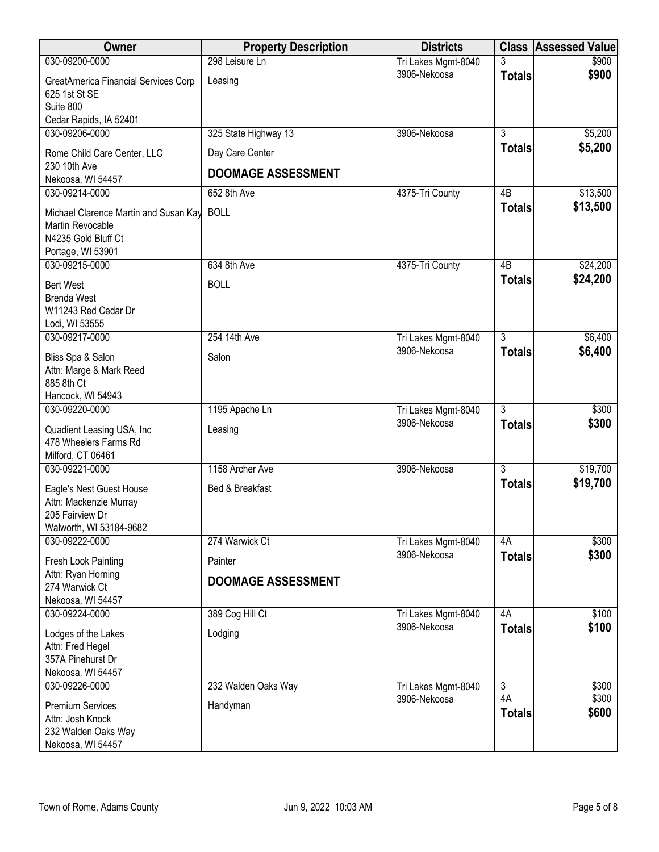| 298 Leisure Ln<br>030-09200-0000<br>3<br>Tri Lakes Mgmt-8040<br>3906-Nekoosa<br><b>Totals</b><br>GreatAmerica Financial Services Corp<br>Leasing<br>625 1st St SE<br>Suite 800<br>Cedar Rapids, IA 52401<br>$\overline{3}$<br>030-09206-0000<br>325 State Highway 13<br>3906-Nekoosa<br><b>Totals</b><br>Day Care Center<br>Rome Child Care Center, LLC | \$900<br>\$900<br>\$5,200<br>\$5,200<br>\$13,500<br>\$13,500 |
|---------------------------------------------------------------------------------------------------------------------------------------------------------------------------------------------------------------------------------------------------------------------------------------------------------------------------------------------------------|--------------------------------------------------------------|
|                                                                                                                                                                                                                                                                                                                                                         |                                                              |
|                                                                                                                                                                                                                                                                                                                                                         |                                                              |
|                                                                                                                                                                                                                                                                                                                                                         |                                                              |
|                                                                                                                                                                                                                                                                                                                                                         |                                                              |
|                                                                                                                                                                                                                                                                                                                                                         |                                                              |
|                                                                                                                                                                                                                                                                                                                                                         |                                                              |
|                                                                                                                                                                                                                                                                                                                                                         |                                                              |
| 230 10th Ave<br><b>DOOMAGE ASSESSMENT</b>                                                                                                                                                                                                                                                                                                               |                                                              |
| Nekoosa, WI 54457                                                                                                                                                                                                                                                                                                                                       |                                                              |
| 030-09214-0000<br>652 8th Ave<br>4375-Tri County<br>4B                                                                                                                                                                                                                                                                                                  |                                                              |
| <b>Totals</b><br><b>BOLL</b><br>Michael Clarence Martin and Susan Kay                                                                                                                                                                                                                                                                                   |                                                              |
| Martin Revocable                                                                                                                                                                                                                                                                                                                                        |                                                              |
| N4235 Gold Bluff Ct                                                                                                                                                                                                                                                                                                                                     |                                                              |
| Portage, WI 53901<br>030-09215-0000<br>634 8th Ave<br>$\overline{AB}$                                                                                                                                                                                                                                                                                   | \$24,200                                                     |
| 4375-Tri County<br>\$24,200<br><b>Totals</b>                                                                                                                                                                                                                                                                                                            |                                                              |
| <b>BOLL</b><br><b>Bert West</b>                                                                                                                                                                                                                                                                                                                         |                                                              |
| <b>Brenda West</b>                                                                                                                                                                                                                                                                                                                                      |                                                              |
| W11243 Red Cedar Dr<br>Lodi, WI 53555                                                                                                                                                                                                                                                                                                                   |                                                              |
| 254 14th Ave<br>$\overline{3}$<br>030-09217-0000<br>Tri Lakes Mgmt-8040                                                                                                                                                                                                                                                                                 | \$6,400                                                      |
| 3906-Nekoosa<br><b>Totals</b><br>Salon                                                                                                                                                                                                                                                                                                                  | \$6,400                                                      |
| Bliss Spa & Salon<br>Attn: Marge & Mark Reed                                                                                                                                                                                                                                                                                                            |                                                              |
| 885 8th Ct                                                                                                                                                                                                                                                                                                                                              |                                                              |
| Hancock, WI 54943                                                                                                                                                                                                                                                                                                                                       |                                                              |
| $\overline{3}$<br>030-09220-0000<br>1195 Apache Ln<br>Tri Lakes Mgmt-8040                                                                                                                                                                                                                                                                               | \$300                                                        |
| 3906-Nekoosa<br><b>Totals</b><br>Quadient Leasing USA, Inc.<br>Leasing                                                                                                                                                                                                                                                                                  | \$300                                                        |
| 478 Wheelers Farms Rd                                                                                                                                                                                                                                                                                                                                   |                                                              |
| Milford, CT 06461                                                                                                                                                                                                                                                                                                                                       |                                                              |
| $\overline{3}$<br>1158 Archer Ave<br>3906-Nekoosa<br>030-09221-0000                                                                                                                                                                                                                                                                                     | \$19,700                                                     |
| \$19,700<br><b>Totals</b><br>Eagle's Nest Guest House<br>Bed & Breakfast                                                                                                                                                                                                                                                                                |                                                              |
| Attn: Mackenzie Murray                                                                                                                                                                                                                                                                                                                                  |                                                              |
| 205 Fairview Dr                                                                                                                                                                                                                                                                                                                                         |                                                              |
| Walworth, WI 53184-9682                                                                                                                                                                                                                                                                                                                                 |                                                              |
| 030-09222-0000<br>274 Warwick Ct<br>4A<br>Tri Lakes Mgmt-8040                                                                                                                                                                                                                                                                                           | \$300                                                        |
| 3906-Nekoosa<br><b>Totals</b><br>Painter<br>Fresh Look Painting                                                                                                                                                                                                                                                                                         | \$300                                                        |
| Attn: Ryan Horning<br><b>DOOMAGE ASSESSMENT</b>                                                                                                                                                                                                                                                                                                         |                                                              |
| 274 Warwick Ct                                                                                                                                                                                                                                                                                                                                          |                                                              |
| Nekoosa, WI 54457                                                                                                                                                                                                                                                                                                                                       |                                                              |
| 389 Cog Hill Ct<br>030-09224-0000<br>Tri Lakes Mgmt-8040<br>4A<br>3906-Nekoosa<br><b>Totals</b>                                                                                                                                                                                                                                                         | \$100<br>\$100                                               |
| Lodging<br>Lodges of the Lakes                                                                                                                                                                                                                                                                                                                          |                                                              |
| Attn: Fred Hegel                                                                                                                                                                                                                                                                                                                                        |                                                              |
| 357A Pinehurst Dr<br>Nekoosa, WI 54457                                                                                                                                                                                                                                                                                                                  |                                                              |
| 232 Walden Oaks Way<br>$\overline{3}$<br>030-09226-0000<br>Tri Lakes Mgmt-8040                                                                                                                                                                                                                                                                          | \$300                                                        |
| 4A<br>3906-Nekoosa                                                                                                                                                                                                                                                                                                                                      | \$300                                                        |
| <b>Premium Services</b><br>Handyman<br><b>Totals</b>                                                                                                                                                                                                                                                                                                    | \$600                                                        |
| Attn: Josh Knock<br>232 Walden Oaks Way                                                                                                                                                                                                                                                                                                                 |                                                              |
| Nekoosa, WI 54457                                                                                                                                                                                                                                                                                                                                       |                                                              |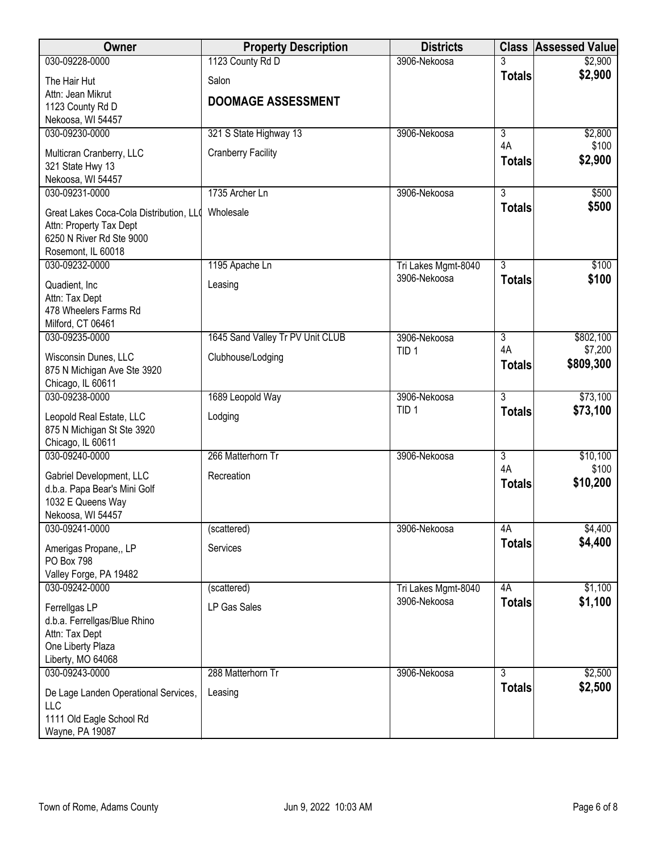| Owner                                   | <b>Property Description</b>      | <b>Districts</b>    | <b>Class</b>   | <b>Assessed Value</b> |
|-----------------------------------------|----------------------------------|---------------------|----------------|-----------------------|
| 030-09228-0000                          | 1123 County Rd D                 | 3906-Nekoosa        |                | \$2,900               |
| The Hair Hut                            | Salon                            |                     | <b>Totals</b>  | \$2,900               |
| Attn: Jean Mikrut                       |                                  |                     |                |                       |
| 1123 County Rd D                        | <b>DOOMAGE ASSESSMENT</b>        |                     |                |                       |
| Nekoosa, WI 54457                       |                                  |                     |                |                       |
| 030-09230-0000                          | 321 S State Highway 13           | 3906-Nekoosa        | $\overline{3}$ | \$2,800               |
| Multicran Cranberry, LLC                | <b>Cranberry Facility</b>        |                     | 4A             | \$100                 |
| 321 State Hwy 13                        |                                  |                     | <b>Totals</b>  | \$2,900               |
| Nekoosa, WI 54457                       |                                  |                     |                |                       |
| 030-09231-0000                          | 1735 Archer Ln                   | 3906-Nekoosa        | $\overline{3}$ | \$500                 |
| Great Lakes Coca-Cola Distribution, LL0 | Wholesale                        |                     | <b>Totals</b>  | \$500                 |
| Attn: Property Tax Dept                 |                                  |                     |                |                       |
| 6250 N River Rd Ste 9000                |                                  |                     |                |                       |
| Rosemont, IL 60018                      |                                  |                     |                |                       |
| 030-09232-0000                          | 1195 Apache Ln                   | Tri Lakes Mgmt-8040 | 3              | \$100                 |
| Quadient, Inc.                          | Leasing                          | 3906-Nekoosa        | <b>Totals</b>  | \$100                 |
| Attn: Tax Dept                          |                                  |                     |                |                       |
| 478 Wheelers Farms Rd                   |                                  |                     |                |                       |
| Milford, CT 06461                       |                                  |                     |                |                       |
| 030-09235-0000                          | 1645 Sand Valley Tr PV Unit CLUB | 3906-Nekoosa        | $\overline{3}$ | \$802,100             |
| Wisconsin Dunes, LLC                    | Clubhouse/Lodging                | TID <sub>1</sub>    | 4A             | \$7,200               |
| 875 N Michigan Ave Ste 3920             |                                  |                     | <b>Totals</b>  | \$809,300             |
| Chicago, IL 60611                       |                                  |                     |                |                       |
| 030-09238-0000                          | 1689 Leopold Way                 | 3906-Nekoosa        | $\overline{3}$ | \$73,100              |
| Leopold Real Estate, LLC                | Lodging                          | TID <sub>1</sub>    | <b>Totals</b>  | \$73,100              |
| 875 N Michigan St Ste 3920              |                                  |                     |                |                       |
| Chicago, IL 60611                       |                                  |                     |                |                       |
| 030-09240-0000                          | 266 Matterhorn Tr                | 3906-Nekoosa        | $\overline{3}$ | \$10,100              |
| Gabriel Development, LLC                | Recreation                       |                     | 4A             | \$100                 |
| d.b.a. Papa Bear's Mini Golf            |                                  |                     | <b>Totals</b>  | \$10,200              |
| 1032 E Queens Way                       |                                  |                     |                |                       |
| Nekoosa, WI 54457                       |                                  |                     |                |                       |
| 030-09241-0000                          | (scattered)                      | 3906-Nekoosa        | 4A             | \$4,400               |
| Amerigas Propane,, LP                   | Services                         |                     | <b>Totals</b>  | \$4,400               |
| PO Box 798                              |                                  |                     |                |                       |
| Valley Forge, PA 19482                  |                                  |                     |                |                       |
| 030-09242-0000                          | (scattered)                      | Tri Lakes Mgmt-8040 | 4A             | \$1,100               |
| Ferrellgas LP                           | LP Gas Sales                     | 3906-Nekoosa        | <b>Totals</b>  | \$1,100               |
| d.b.a. Ferrellgas/Blue Rhino            |                                  |                     |                |                       |
| Attn: Tax Dept                          |                                  |                     |                |                       |
| One Liberty Plaza                       |                                  |                     |                |                       |
| Liberty, MO 64068                       |                                  |                     |                |                       |
| 030-09243-0000                          | 288 Matterhorn Tr                | 3906-Nekoosa        | 3              | \$2,500               |
| De Lage Landen Operational Services,    | Leasing                          |                     | <b>Totals</b>  | \$2,500               |
| LLC                                     |                                  |                     |                |                       |
| 1111 Old Eagle School Rd                |                                  |                     |                |                       |
| Wayne, PA 19087                         |                                  |                     |                |                       |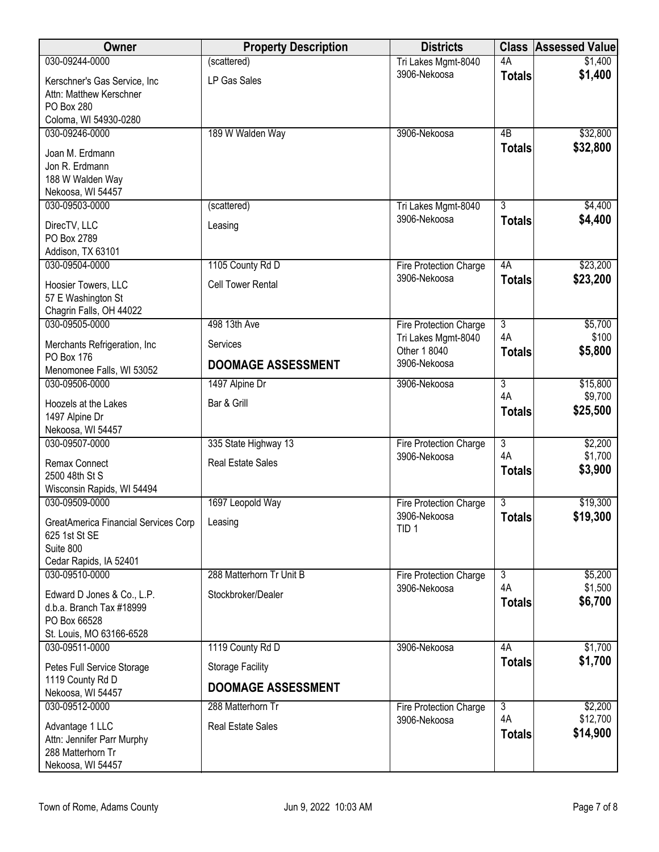| Owner                                                                                                  | <b>Property Description</b> | <b>Districts</b>                    | <b>Class</b>        | <b>Assessed Value</b> |
|--------------------------------------------------------------------------------------------------------|-----------------------------|-------------------------------------|---------------------|-----------------------|
| 030-09244-0000                                                                                         | (scattered)                 | Tri Lakes Mgmt-8040                 | 4A                  | \$1,400               |
| Kerschner's Gas Service, Inc.<br>Attn: Matthew Kerschner<br><b>PO Box 280</b><br>Coloma, WI 54930-0280 | LP Gas Sales                | 3906-Nekoosa                        | <b>Totals</b>       | \$1,400               |
| 030-09246-0000                                                                                         | 189 W Walden Way            | 3906-Nekoosa                        | 4B                  | \$32,800              |
| Joan M. Erdmann<br>Jon R. Erdmann<br>188 W Walden Way<br>Nekoosa, WI 54457                             |                             |                                     | <b>Totals</b>       | \$32,800              |
| 030-09503-0000                                                                                         | (scattered)                 | Tri Lakes Mgmt-8040                 | $\overline{3}$      | \$4,400               |
| DirecTV, LLC<br>PO Box 2789<br>Addison, TX 63101                                                       | Leasing                     | 3906-Nekoosa                        | <b>Totals</b>       | \$4,400               |
| 030-09504-0000                                                                                         | 1105 County Rd D            | Fire Protection Charge              | 4A                  | \$23,200              |
| Hoosier Towers, LLC<br>57 E Washington St<br>Chagrin Falls, OH 44022                                   | <b>Cell Tower Rental</b>    | 3906-Nekoosa                        | <b>Totals</b>       | \$23,200              |
| 030-09505-0000                                                                                         | 498 13th Ave                | Fire Protection Charge              | $\overline{3}$      | \$5,700               |
| Merchants Refrigeration, Inc                                                                           | Services                    | Tri Lakes Mgmt-8040<br>Other 1 8040 | 4A<br><b>Totals</b> | \$100<br>\$5,800      |
| PO Box 176<br>Menomonee Falls, WI 53052                                                                | <b>DOOMAGE ASSESSMENT</b>   | 3906-Nekoosa                        |                     |                       |
| 030-09506-0000                                                                                         | 1497 Alpine Dr              | 3906-Nekoosa                        | $\overline{3}$      | \$15,800              |
| Hoozels at the Lakes<br>1497 Alpine Dr<br>Nekoosa, WI 54457                                            | Bar & Grill                 |                                     | 4A<br><b>Totals</b> | \$9,700<br>\$25,500   |
| 030-09507-0000                                                                                         | 335 State Highway 13        | Fire Protection Charge              | $\overline{3}$      | \$2,200               |
| Remax Connect<br>2500 48th St S<br>Wisconsin Rapids, WI 54494                                          | <b>Real Estate Sales</b>    | 3906-Nekoosa                        | 4A<br><b>Totals</b> | \$1,700<br>\$3,900    |
| 030-09509-0000                                                                                         | 1697 Leopold Way            | Fire Protection Charge              | $\overline{3}$      | \$19,300              |
| <b>GreatAmerica Financial Services Corp</b><br>625 1st St SE<br>Suite 800<br>Cedar Rapids, IA 52401    | Leasing                     | 3906-Nekoosa<br>TID <sub>1</sub>    | <b>Totals</b>       | \$19,300              |
| 030-09510-0000                                                                                         | 288 Matterhorn Tr Unit B    | Fire Protection Charge              | $\overline{3}$      | \$5,200               |
| Edward D Jones & Co., L.P.<br>d.b.a. Branch Tax #18999<br>PO Box 66528<br>St. Louis, MO 63166-6528     | Stockbroker/Dealer          | 3906-Nekoosa                        | 4A<br><b>Totals</b> | \$1,500<br>\$6,700    |
| 030-09511-0000                                                                                         | 1119 County Rd D            | 3906-Nekoosa                        | 4A                  | \$1,700               |
| Petes Full Service Storage                                                                             | <b>Storage Facility</b>     |                                     | <b>Totals</b>       | \$1,700               |
| 1119 County Rd D<br>Nekoosa, WI 54457                                                                  | <b>DOOMAGE ASSESSMENT</b>   |                                     |                     |                       |
| 030-09512-0000                                                                                         | 288 Matterhorn Tr           | Fire Protection Charge              | $\overline{3}$      | \$2,200               |
| Advantage 1 LLC<br>Attn: Jennifer Parr Murphy<br>288 Matterhorn Tr<br>Nekoosa, WI 54457                | <b>Real Estate Sales</b>    | 3906-Nekoosa                        | 4A<br><b>Totals</b> | \$12,700<br>\$14,900  |